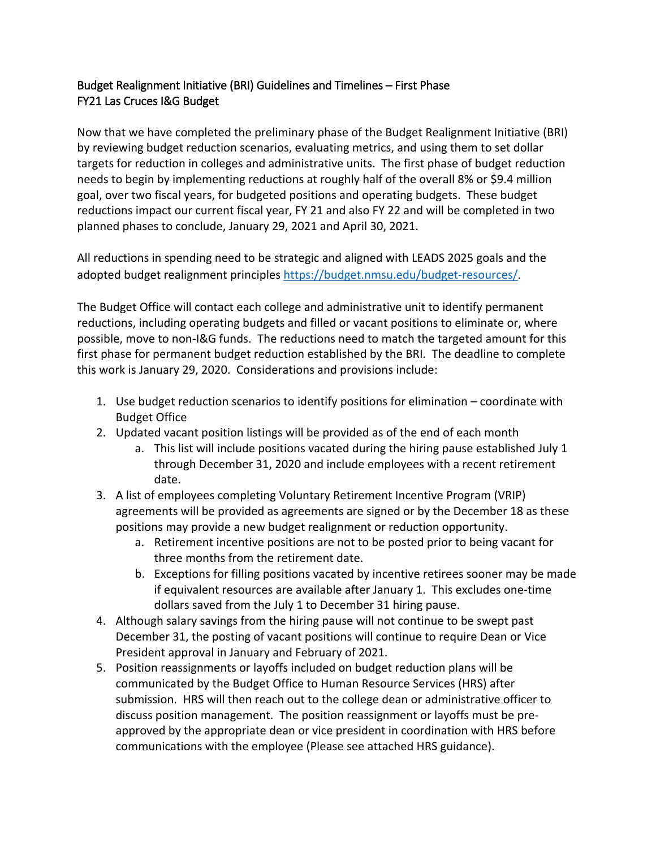## Budget Realignment Initiative (BRI) Guidelines and Timelines – First Phase FY21 Las Cruces I&G Budget

Now that we have completed the preliminary phase of the Budget Realignment Initiative (BRI) by reviewing budget reduction scenarios, evaluating metrics, and using them to set dollar targets for reduction in colleges and administrative units. The first phase of budget reduction needs to begin by implementing reductions at roughly half of the overall 8% or \$9.4 million goal, over two fiscal years, for budgeted positions and operating budgets. These budget reductions impact our current fiscal year, FY 21 and also FY 22 and will be completed in two planned phases to conclude, January 29, 2021 and April 30, 2021.

All reductions in spending need to be strategic and aligned with LEADS 2025 goals and the adopted budget realignment principle[s https://budget.nmsu.edu/budget-resources/.](https://budget.nmsu.edu/budget-resources/)

The Budget Office will contact each college and administrative unit to identify permanent reductions, including operating budgets and filled or vacant positions to eliminate or, where possible, move to non-I&G funds. The reductions need to match the targeted amount for this first phase for permanent budget reduction established by the BRI. The deadline to complete this work is January 29, 2020. Considerations and provisions include:

- 1. Use budget reduction scenarios to identify positions for elimination coordinate with Budget Office
- 2. Updated vacant position listings will be provided as of the end of each month
	- a. This list will include positions vacated during the hiring pause established July 1 through December 31, 2020 and include employees with a recent retirement date.
- 3. A list of employees completing Voluntary Retirement Incentive Program (VRIP) agreements will be provided as agreements are signed or by the December 18 as these positions may provide a new budget realignment or reduction opportunity.
	- a. Retirement incentive positions are not to be posted prior to being vacant for three months from the retirement date.
	- b. Exceptions for filling positions vacated by incentive retirees sooner may be made if equivalent resources are available after January 1. This excludes one-time dollars saved from the July 1 to December 31 hiring pause.
- 4. Although salary savings from the hiring pause will not continue to be swept past December 31, the posting of vacant positions will continue to require Dean or Vice President approval in January and February of 2021.
- 5. Position reassignments or layoffs included on budget reduction plans will be communicated by the Budget Office to Human Resource Services (HRS) after submission. HRS will then reach out to the college dean or administrative officer to discuss position management. The position reassignment or layoffs must be preapproved by the appropriate dean or vice president in coordination with HRS before communications with the employee (Please see attached HRS guidance).